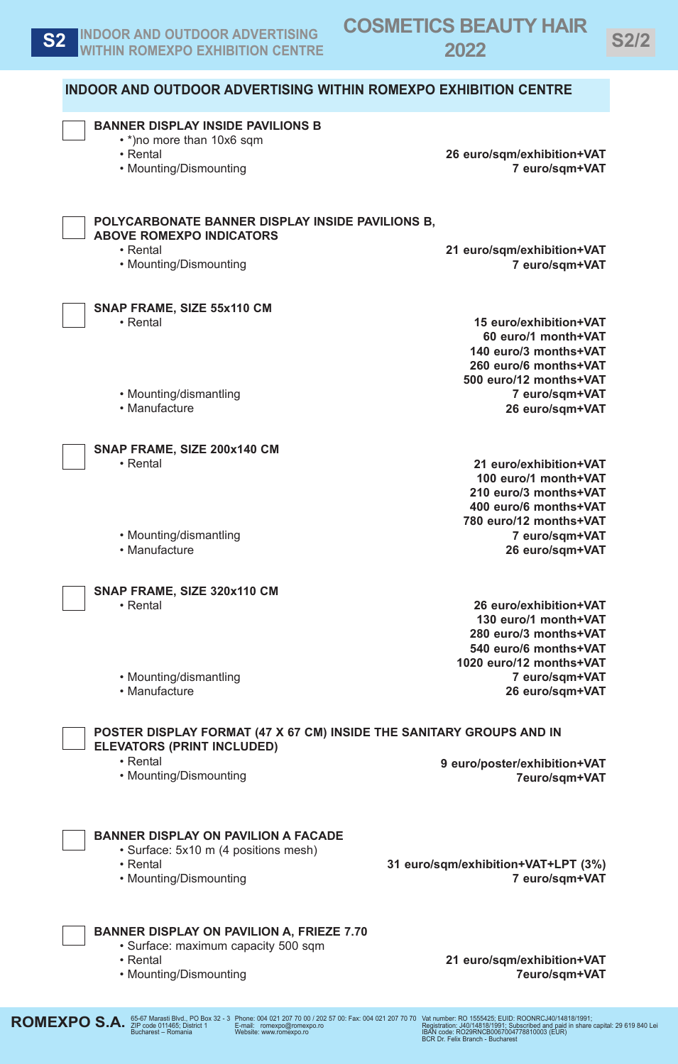| <b>BANNER DISPLAY INSIDE PAVILIONS B</b><br>• *) no more than 10x6 sqm                                    |                                                |
|-----------------------------------------------------------------------------------------------------------|------------------------------------------------|
| • Rental                                                                                                  | 26 euro/sqm/exhibition+VAT                     |
| • Mounting/Dismounting                                                                                    | 7 euro/sqm+VAT                                 |
| POLYCARBONATE BANNER DISPLAY INSIDE PAVILIONS B,                                                          |                                                |
| <b>ABOVE ROMEXPO INDICATORS</b>                                                                           |                                                |
| • Rental<br>• Mounting/Dismounting                                                                        | 21 euro/sqm/exhibition+VAT<br>7 euro/sqm+VAT   |
| SNAP FRAME, SIZE 55x110 CM                                                                                |                                                |
| • Rental                                                                                                  | 15 euro/exhibition+VAT                         |
|                                                                                                           | 60 euro/1 month+VAT<br>140 euro/3 months+VAT   |
|                                                                                                           | 260 euro/6 months+VAT                          |
|                                                                                                           | 500 euro/12 months+VAT                         |
| • Mounting/dismantling                                                                                    | 7 euro/sqm+VAT                                 |
| • Manufacture                                                                                             | 26 euro/sqm+VAT                                |
| SNAP FRAME, SIZE 200x140 CM                                                                               |                                                |
| • Rental                                                                                                  | 21 euro/exhibition+VAT<br>100 euro/1 month+VAT |
|                                                                                                           | 210 euro/3 months+VAT                          |
|                                                                                                           | 400 euro/6 months+VAT                          |
|                                                                                                           | 780 euro/12 months+VAT                         |
| • Mounting/dismantling                                                                                    | 7 euro/sqm+VAT                                 |
| • Manufacture                                                                                             | 26 euro/sqm+VAT                                |
| SNAP FRAME, SIZE 320x110 CM                                                                               |                                                |
| • Rental                                                                                                  | 26 euro/exhibition+VAT                         |
|                                                                                                           | 130 euro/1 month+VAT<br>280 euro/3 months+VAT  |
|                                                                                                           | 540 euro/6 months+VAT                          |
|                                                                                                           | 1020 euro/12 months+VAT                        |
| • Mounting/dismantling                                                                                    | 7 euro/sqm+VAT                                 |
| • Manufacture                                                                                             | 26 euro/sqm+VAT                                |
| POSTER DISPLAY FORMAT (47 X 67 CM) INSIDE THE SANITARY GROUPS AND IN<br><b>ELEVATORS (PRINT INCLUDED)</b> |                                                |
| • Rental                                                                                                  | 9 euro/poster/exhibition+VAT                   |
| • Mounting/Dismounting                                                                                    | 7euro/sqm+VAT                                  |
| <b>BANNER DISPLAY ON PAVILION A FACADE</b>                                                                |                                                |
| • Surface: 5x10 m (4 positions mesh)<br>• Rental                                                          | 31 euro/sqm/exhibition+VAT+LPT (3%)            |
| • Mounting/Dismounting                                                                                    | 7 euro/sqm+VAT                                 |
| <b>BANNER DISPLAY ON PAVILION A, FRIEZE 7.70</b>                                                          |                                                |
| • Surface: maximum capacity 500 sqm                                                                       |                                                |
| • Rental                                                                                                  | 21 euro/sqm/exhibition+VAT                     |
| • Mounting/Dismounting                                                                                    | 7euro/sqm+VAT                                  |

**ROMEXPO S.A.**  $^{65-67 \text{ Mars}}_{\text{Bucharest - Romania}}$  And  $^{70}$  Box 32 - 3

Vat number: RO 1555425; EUID: ROONRCJ40/14818/1991;<br>Registration: J40/14818/1991; Subscribed and paid in share capital: 29 619 840 Lei<br>IBAN code: RO29RNCB0067004778810003 (EUR)<br>BCR Dr. Felix Branch - Bucharest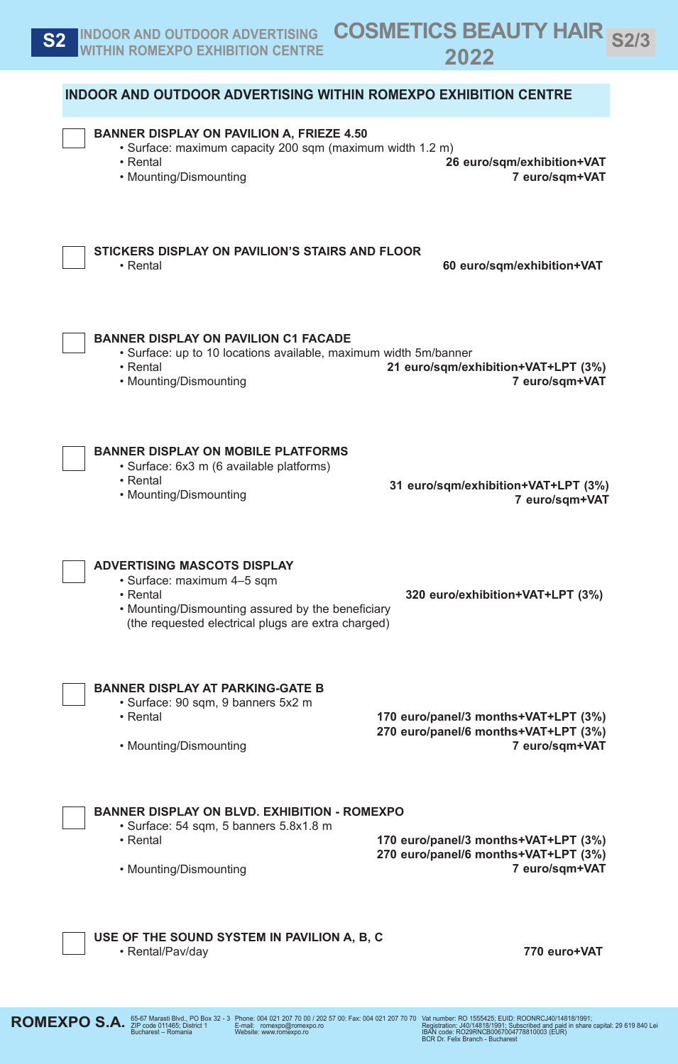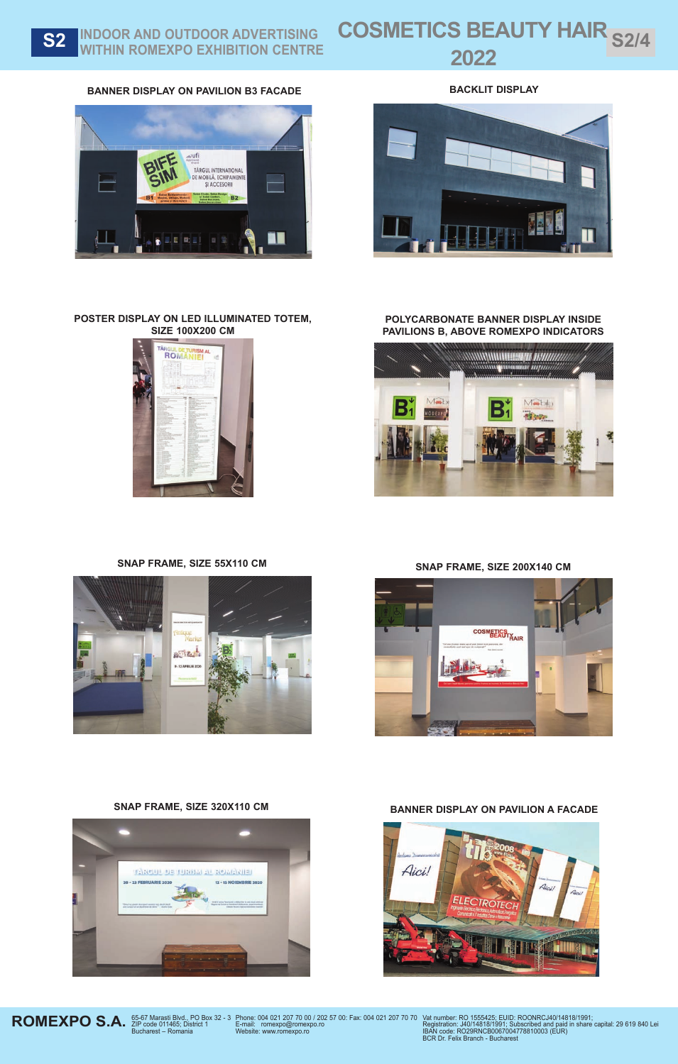## S2 INDOOR AND OUTDOOR ADVERTISING<br>
WITHIN ROMEXPO EXHIBITION CENTRE CONSTRUCT-AMBENT EXPO 2022 **WITHIN ROMEXPO EXHIBITION CENTRE**

## **BANNER DISPLAY ON PAVILION B3 FACADE BACKLIT DISPLAY**



![](_page_3_Picture_4.jpeg)

![](_page_3_Picture_5.jpeg)

![](_page_3_Picture_6.jpeg)

**POLYCARBONATE BANNER DISPLAY INSIDE PAVILIONS B, ABOVE ROMEXPO INDICATORS**

![](_page_3_Picture_9.jpeg)

![](_page_3_Picture_11.jpeg)

![](_page_3_Picture_13.jpeg)

![](_page_3_Picture_14.jpeg)

![](_page_3_Picture_15.jpeg)

![](_page_3_Picture_17.jpeg)

**ROMEXPO S.A.** *S*<sub>5-67</sub> Marasti Blvd., PO Box 32 - 3<br>Bucharest – Romania

Phone: 004 021 207 70 00 / 202 57 00: Fax: 004 021 207 70 70 E-mail: romexpo@romexpo.ro Website: www.romexpo.ro

Vat number: RO 1555425; EUID: ROONRCJ40/14818/1991;<br>Registration: J40/14818/1991; Subscribed and paid in share capital: 29 619 840 Lei<br>IBAN code: RO29RNCB0067004778810003 (EUR)<br>BCR Dr. Felix Branch - Bucharest

![](_page_3_Picture_22.jpeg)

SNAP FRAME, SIZE 320X110 CM **BANNER DISPLAY ON PAVILION A FACADE**